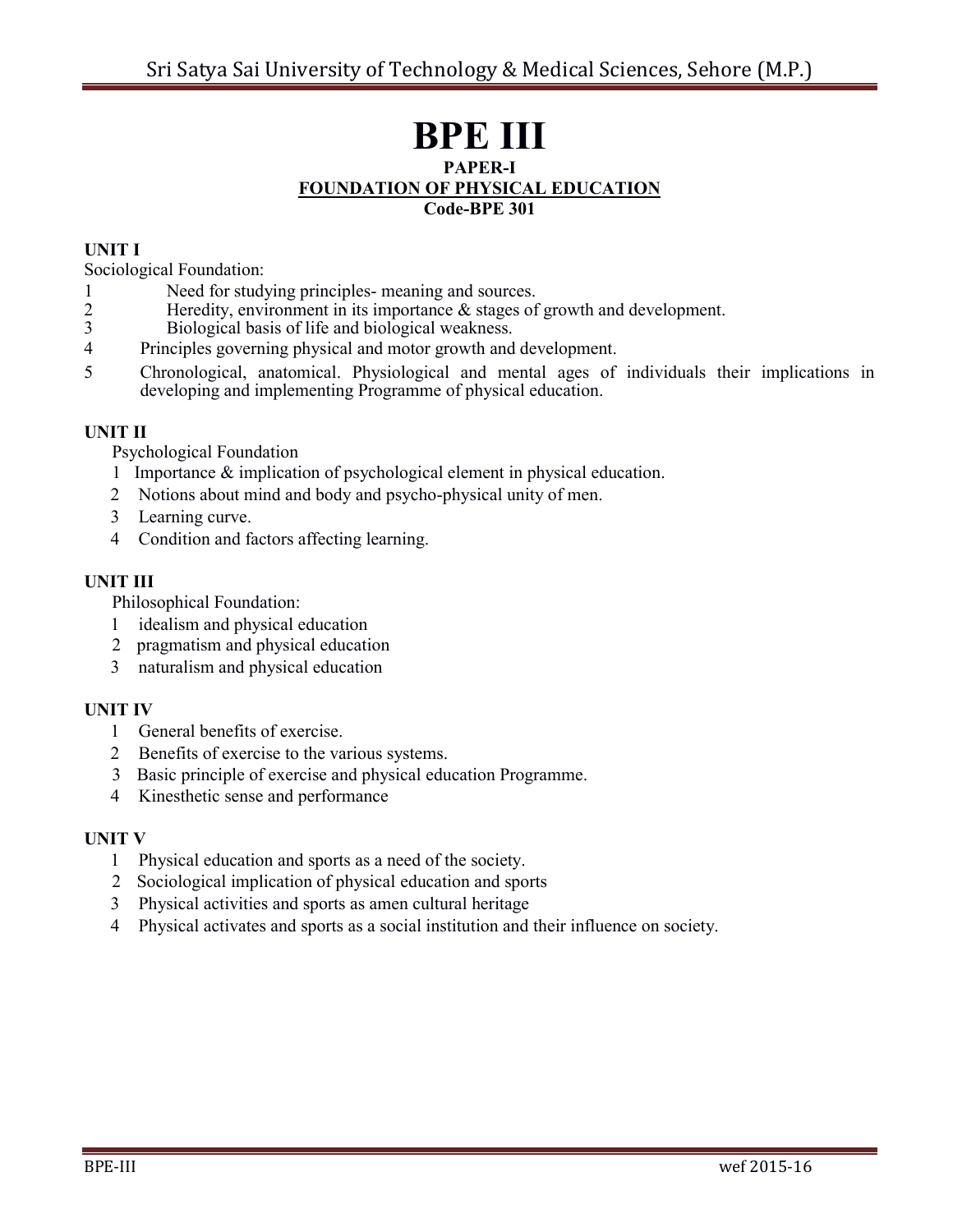# **BPE III PAPER-I FOUNDATION OF PHYSICAL EDUCATION Code-BPE 301**

### **UNIT I**

Sociological Foundation:

- 1 Need for studying principles- meaning and sources.<br>2 Heredity, environment in its importance & stages of
- 2 Heredity, environment in its importance & stages of growth and development.<br>3 Biological basis of life and biological weakness.
- Biological basis of life and biological weakness.
- 4 Principles governing physical and motor growth and development.
- 5 Chronological, anatomical. Physiological and mental ages of individuals their implications in developing and implementing Programme of physical education.

#### **UNIT II**

Psychological Foundation

- 1 Importance & implication of psychological element in physical education.
- Notions about mind and body and psycho-physical unity of men.
- 3 Learning curve.
- Condition and factors affecting learning.

### **UNIT III**

Philosophical Foundation:

- 1 idealism and physical education
- 2 pragmatism and physical education
- naturalism and physical education

### **UNIT IV**

- General benefits of exercise.
- 2 Benefits of exercise to the various systems.
- 3 Basic principle of exercise and physical education Programme.
- Kinesthetic sense and performance

#### **UNIT V**

- Physical education and sports as a need of the society.
- 2 Sociological implication of physical education and sports
- Physical activities and sports as amen cultural heritage
- Physical activates and sports as a social institution and their influence on society.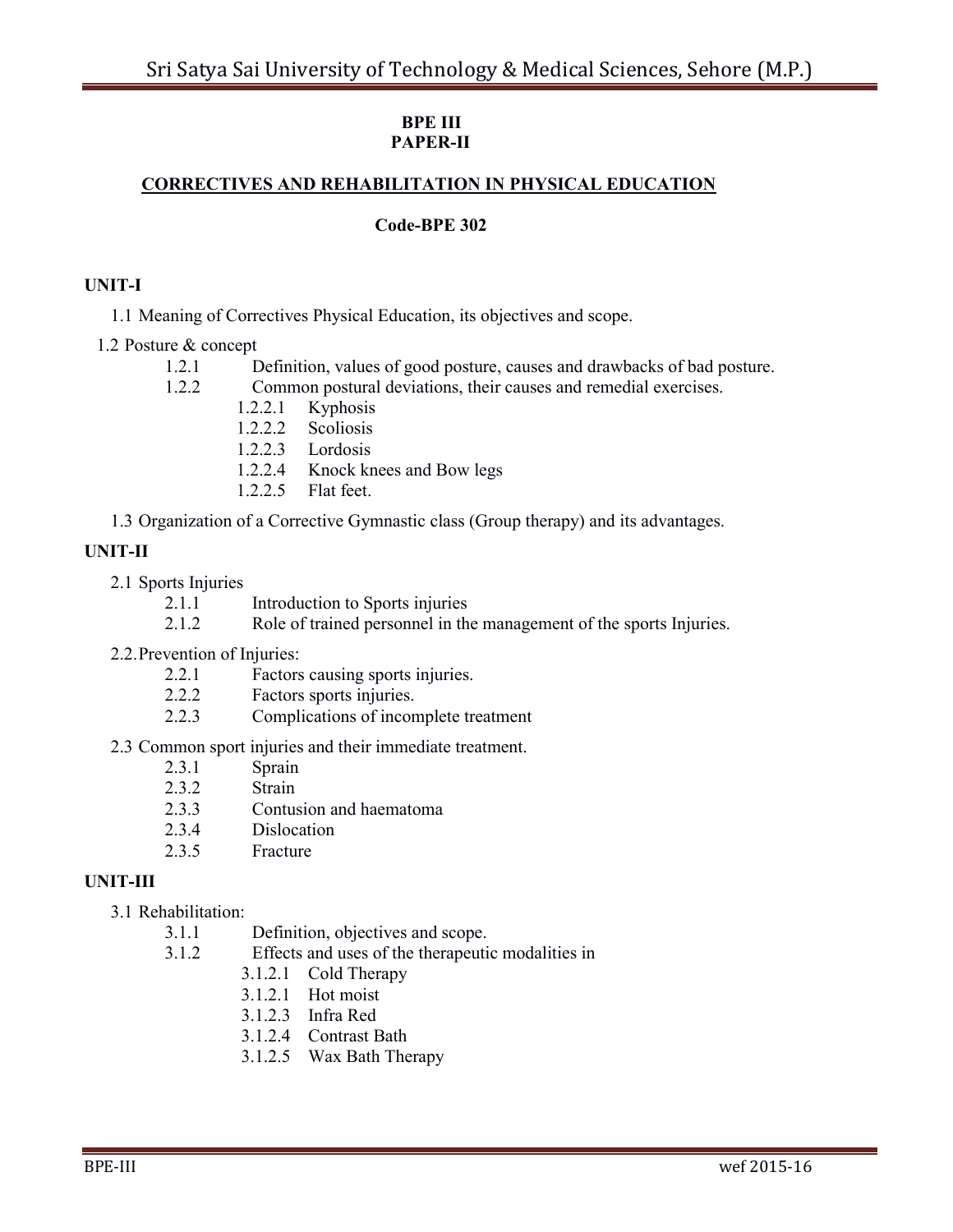#### **BPE III PAPER-II**

### **CORRECTIVES AND REHABILITATION IN PHYSICAL EDUCATION**

#### **Code-BPE 302**

#### **UNIT-I**

1.1 Meaning of Correctives Physical Education, its objectives and scope.

#### 1.2 Posture & concept

- 1.2.1 Definition, values of good posture, causes and drawbacks of bad posture.
- 1.2.2 Common postural deviations, their causes and remedial exercises.
	- 1.2.2.1 Kyphosis
	- 1.2.2.2 Scoliosis
	- 1.2.2.3 Lordosis
	- 1.2.2.4 Knock knees and Bow legs
	- 1.2.2.5 Flat feet.
- 1.3 Organization of a Corrective Gymnastic class (Group therapy) and its advantages.

### **UNIT-II**

- 2.1 Sports Injuries
	- 2.1.1 Introduction to Sports injuries
	- 2.1.2 Role of trained personnel in the management of the sports Injuries.
- 2.2.Prevention of Injuries:
	- 2.2.1 Factors causing sports injuries.
	- 2.2.2 Factors sports injuries.
	- 2.2.3 Complications of incomplete treatment

### 2.3 Common sport injuries and their immediate treatment.

- 2.3.1 Sprain
- 2.3.2 Strain
- 2.3.3 Contusion and haematoma
- 2.3.4 Dislocation
- 2.3.5 Fracture

### **UNIT-III**

#### 3.1 Rehabilitation:

- 3.1.1 Definition, objectives and scope.
- 3.1.2 Effects and uses of the therapeutic modalities in
	- 3.1.2.1 Cold Therapy
	- 3.1.2.1 Hot moist
	- 3.1.2.3 Infra Red
	- 3.1.2.4 Contrast Bath
	- 3.1.2.5 Wax Bath Therapy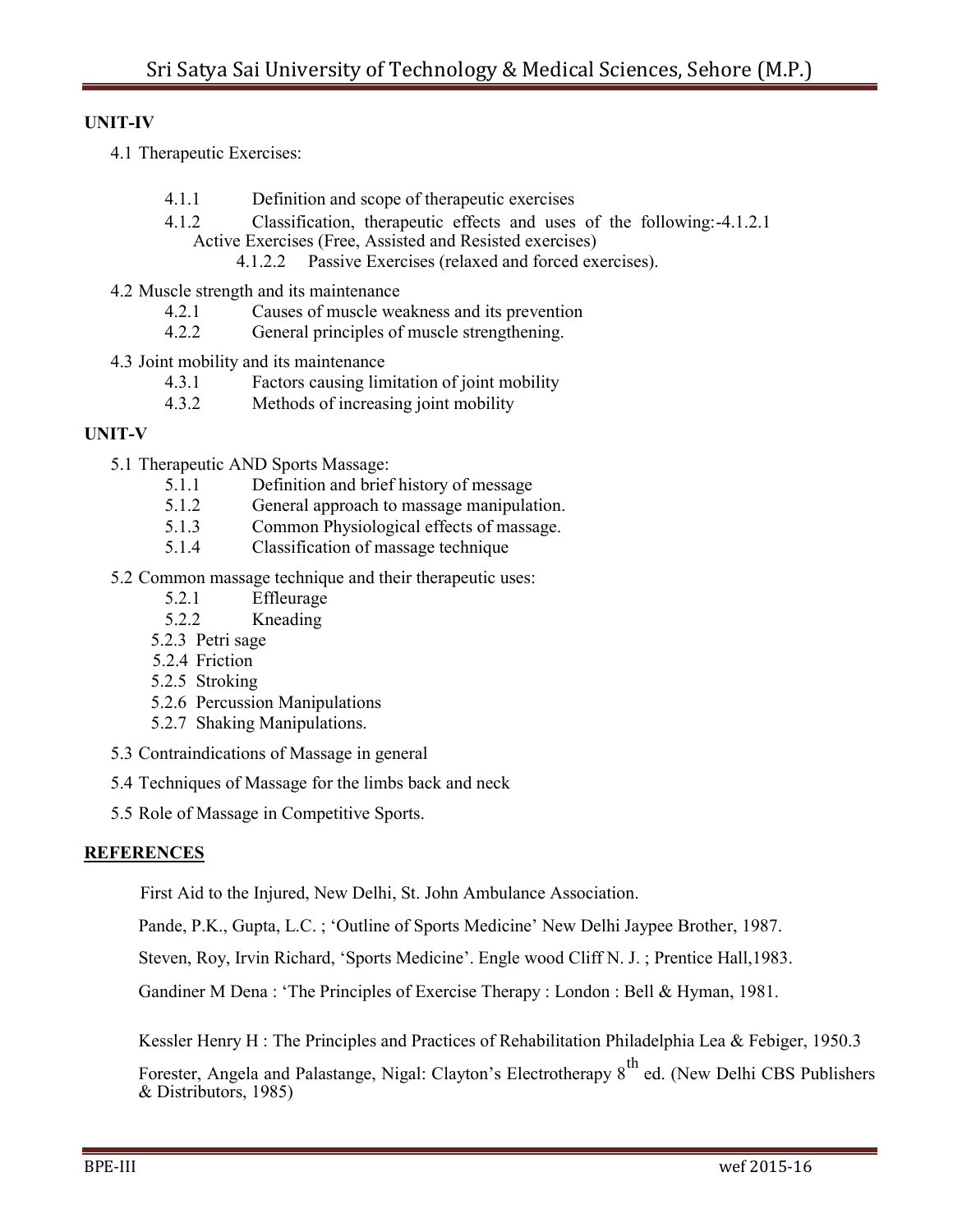### **UNIT-IV**

- 4.1 Therapeutic Exercises:
	- 4.1.1 Definition and scope of therapeutic exercises
	- 4.1.2 Classification, therapeutic effects and uses of the following:-4.1.2.1 Active Exercises (Free, Assisted and Resisted exercises)
		- 4.1.2.2 Passive Exercises (relaxed and forced exercises).
- 4.2 Muscle strength and its maintenance
	- 4.2.1 Causes of muscle weakness and its prevention
	- 4.2.2 General principles of muscle strengthening.
- 4.3 Joint mobility and its maintenance
	- 4.3.1 Factors causing limitation of joint mobility
	- 4.3.2 Methods of increasing joint mobility

#### **UNIT-V**

- 5.1 Therapeutic AND Sports Massage:
	- 5.1.1 Definition and brief history of message
	- 5.1.2 General approach to massage manipulation.
	- 5.1.3 Common Physiological effects of massage.
	- 5.1.4 Classification of massage technique
- 5.2 Common massage technique and their therapeutic uses:
	- 5.2.1 Effleurage
	- 5.2.2 Kneading
	- 5.2.3 Petri sage
	- 5.2.4 Friction
	- 5.2.5 Stroking
	- 5.2.6 Percussion Manipulations
	- 5.2.7 Shaking Manipulations.
- 5.3 Contraindications of Massage in general
- 5.4 Techniques of Massage for the limbs back and neck
- 5.5 Role of Massage in Competitive Sports.

#### **REFERENCES**

First Aid to the Injured, New Delhi, St. John Ambulance Association.

Pande, P.K., Gupta, L.C. ; 'Outline of Sports Medicine' New Delhi Jaypee Brother, 1987.

Steven, Roy, Irvin Richard, 'Sports Medicine'. Engle wood Cliff N. J.; Prentice Hall, 1983.

Gandiner M Dena : "The Principles of Exercise Therapy : London : Bell & Hyman, 1981.

Kessler Henry H : The Principles and Practices of Rehabilitation Philadelphia Lea & Febiger, 1950.3

Forester, Angela and Palastange, Nigal: Clayton's Electrotherapy 8<sup>th</sup> ed. (New Delhi CBS Publishers & Distributors, 1985)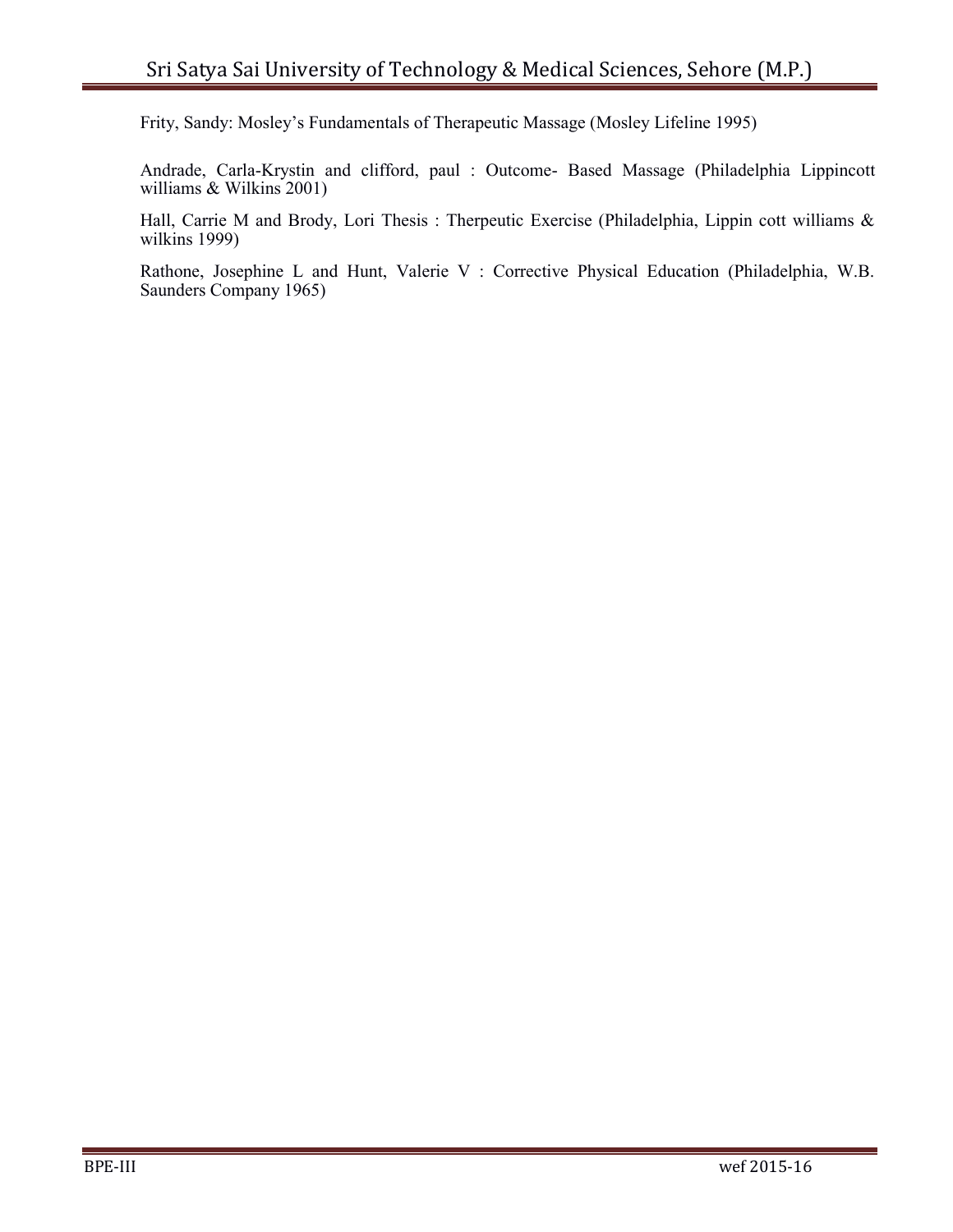Frity, Sandy: Mosley"s Fundamentals of Therapeutic Massage (Mosley Lifeline 1995)

Andrade, Carla-Krystin and clifford, paul : Outcome- Based Massage (Philadelphia Lippincott williams & Wilkins 2001)

Hall, Carrie M and Brody, Lori Thesis : Therpeutic Exercise (Philadelphia, Lippin cott williams & wilkins 1999)

Rathone, Josephine L and Hunt, Valerie V : Corrective Physical Education (Philadelphia, W.B. Saunders Company 1965)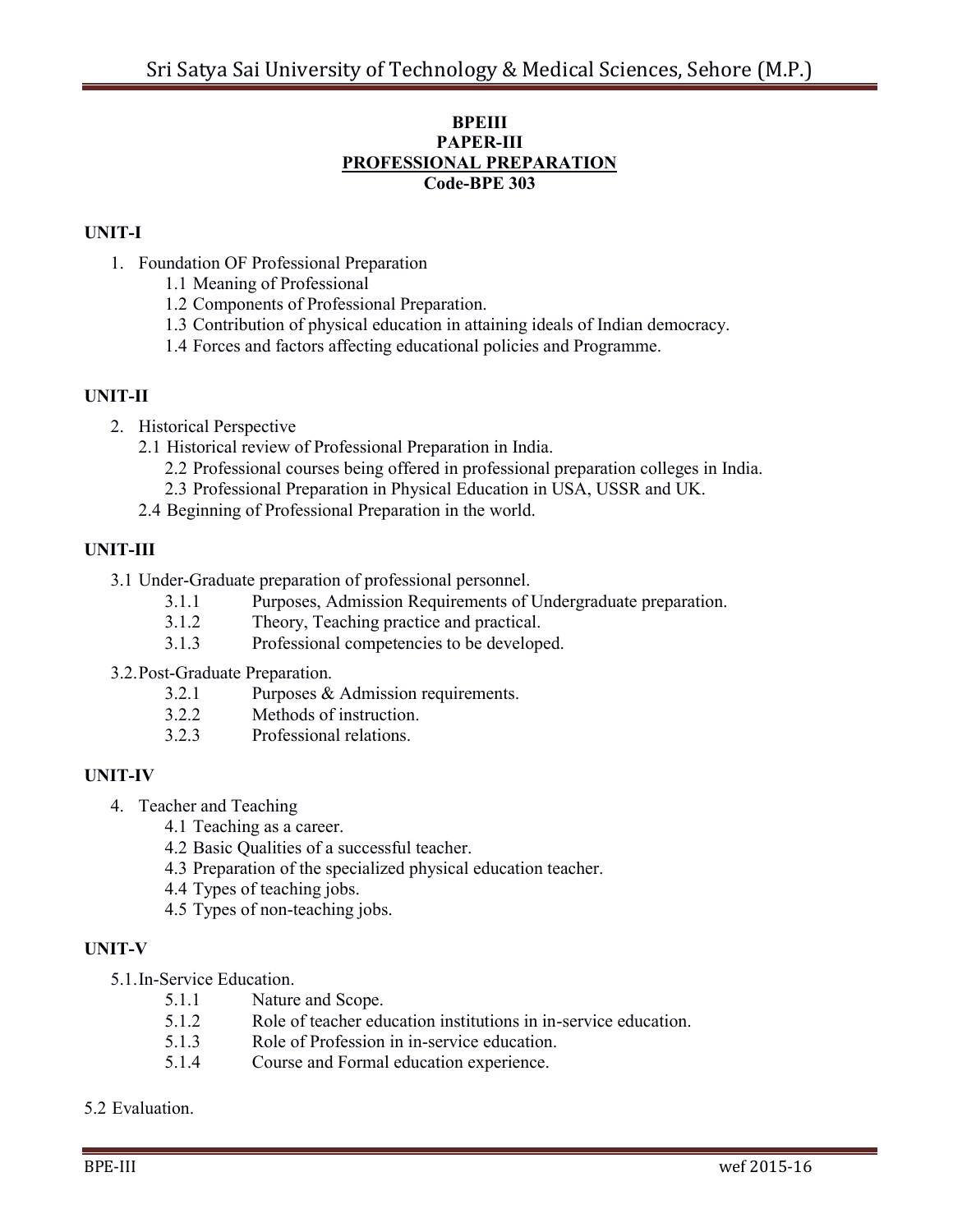#### **BPEIII PAPER-III PROFESSIONAL PREPARATION Code-BPE 303**

## **UNIT-I**

- 1. Foundation OF Professional Preparation
	- 1.1 Meaning of Professional
	- 1.2 Components of Professional Preparation.
	- 1.3 Contribution of physical education in attaining ideals of Indian democracy.
	- 1.4 Forces and factors affecting educational policies and Programme.

### **UNIT-II**

- 2. Historical Perspective
	- 2.1 Historical review of Professional Preparation in India.
		- 2.2 Professional courses being offered in professional preparation colleges in India.
		- 2.3 Professional Preparation in Physical Education in USA, USSR and UK.
	- 2.4 Beginning of Professional Preparation in the world.

## **UNIT-III**

- 3.1 Under-Graduate preparation of professional personnel.
	- 3.1.1 Purposes, Admission Requirements of Undergraduate preparation.
	- 3.1.2 Theory, Teaching practice and practical.
	- 3.1.3 Professional competencies to be developed.
- 3.2.Post-Graduate Preparation.
	- 3.2.1 Purposes & Admission requirements.
	- 3.2.2 Methods of instruction.
	- 3.2.3 Professional relations.

### **UNIT-IV**

- 4. Teacher and Teaching
	- 4.1 Teaching as a career.
	- 4.2 Basic Qualities of a successful teacher.
	- 4.3 Preparation of the specialized physical education teacher.
	- 4.4 Types of teaching jobs.
	- 4.5 Types of non-teaching jobs.

## **UNIT-V**

5.1.In-Service Education.

- 5.1.1 Nature and Scope.
- 5.1.2 Role of teacher education institutions in in-service education.
- 5.1.3 Role of Profession in in-service education.
- 5.1.4 Course and Formal education experience.
- 5.2 Evaluation.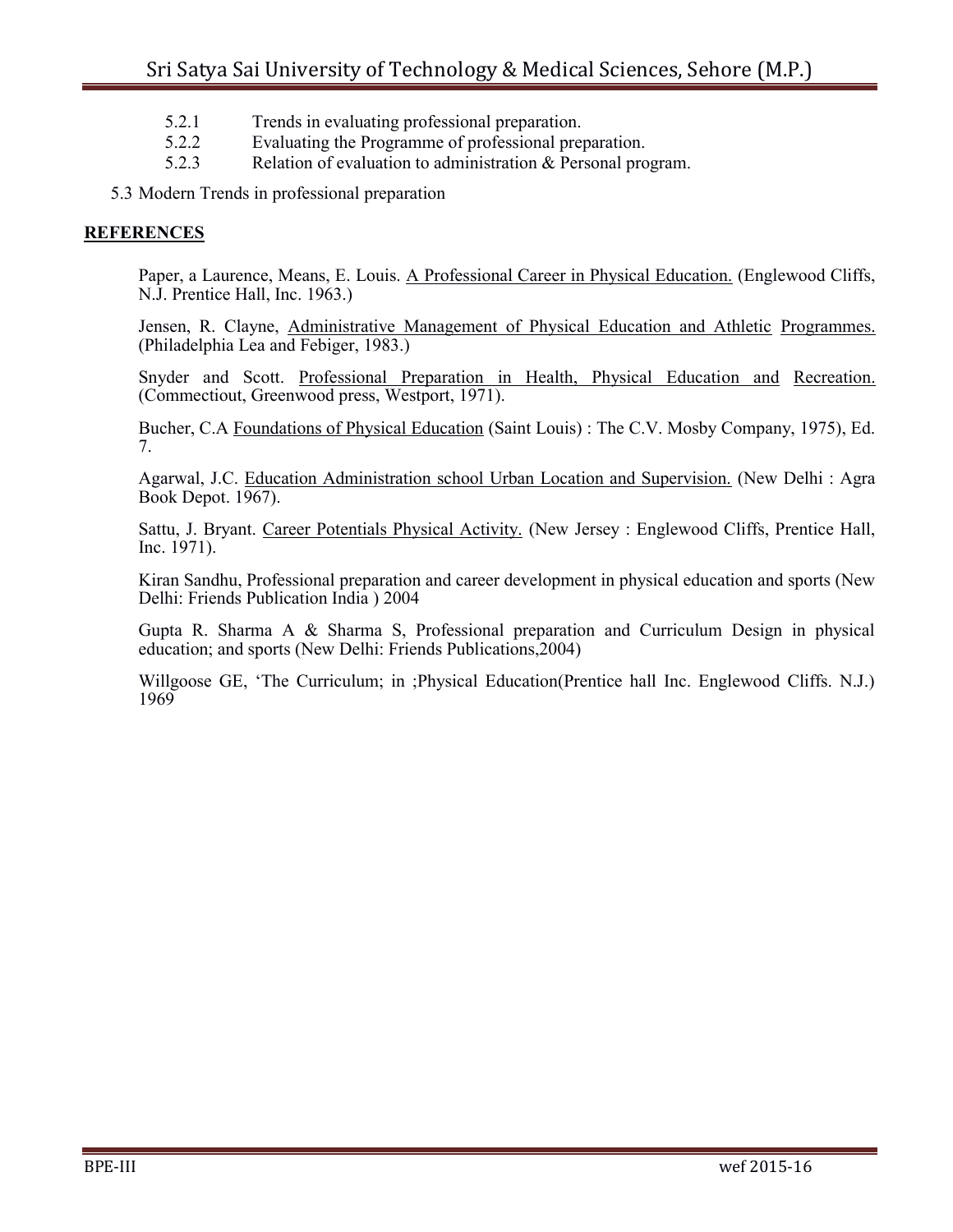- 5.2.1 Trends in evaluating professional preparation.
- 5.2.2 Evaluating the Programme of professional preparation.
- 5.2.3 Relation of evaluation to administration & Personal program.

5.3 Modern Trends in professional preparation

#### **REFERENCES**

Paper, a Laurence, Means, E. Louis. A Professional Career in Physical Education. (Englewood Cliffs, N.J. Prentice Hall, Inc. 1963.)

Jensen, R. Clayne, Administrative Management of Physical Education and Athletic Programmes. (Philadelphia Lea and Febiger, 1983.)

Snyder and Scott. Professional Preparation in Health, Physical Education and Recreation. (Commectiout, Greenwood press, Westport, 1971).

Bucher, C.A Foundations of Physical Education (Saint Louis) : The C.V. Mosby Company, 1975), Ed. 7.

Agarwal, J.C. Education Administration school Urban Location and Supervision. (New Delhi : Agra Book Depot. 1967).

Sattu, J. Bryant. Career Potentials Physical Activity. (New Jersey : Englewood Cliffs, Prentice Hall, Inc. 1971).

Kiran Sandhu, Professional preparation and career development in physical education and sports (New Delhi: Friends Publication India ) 2004

Gupta R. Sharma A & Sharma S, Professional preparation and Curriculum Design in physical education; and sports (New Delhi: Friends Publications,2004)

Willgoose GE, "The Curriculum; in ;Physical Education(Prentice hall Inc. Englewood Cliffs. N.J.) 1969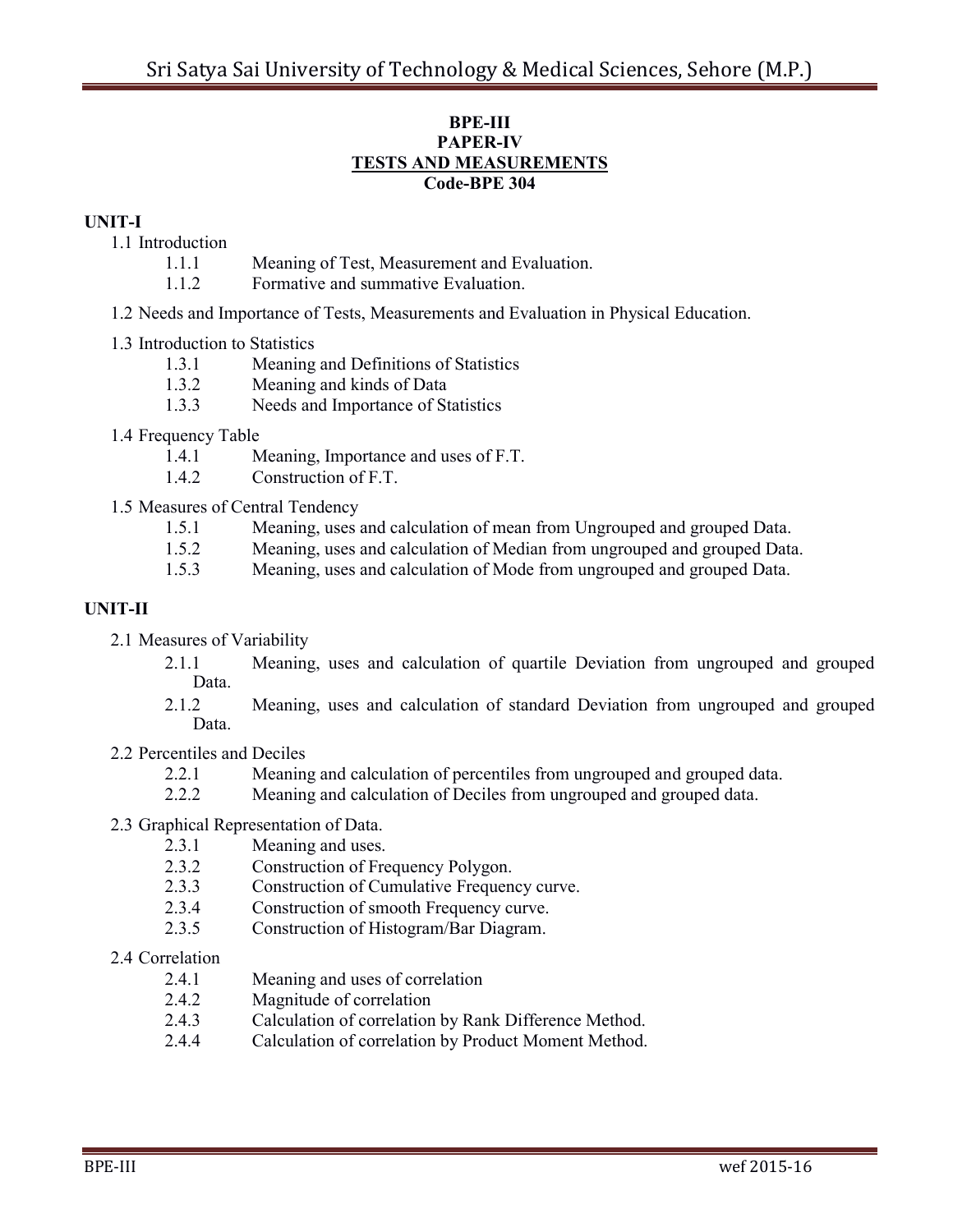#### **BPE-III PAPER-IV TESTS AND MEASUREMENTS Code-BPE 304**

#### **UNIT-I**

- 1.1 Introduction
	- 1.1.1 Meaning of Test, Measurement and Evaluation.
	- 1.1.2 Formative and summative Evaluation.
- 1.2 Needs and Importance of Tests, Measurements and Evaluation in Physical Education.

### 1.3 Introduction to Statistics

- 1.3.1 Meaning and Definitions of Statistics
- 1.3.2 Meaning and kinds of Data
- 1.3.3 Needs and Importance of Statistics
- 1.4 Frequency Table
	- 1.4.1 Meaning, Importance and uses of F.T.
	- 1.4.2 Construction of F.T.
- 1.5 Measures of Central Tendency
	- 1.5.1 Meaning, uses and calculation of mean from Ungrouped and grouped Data.
	- 1.5.2 Meaning, uses and calculation of Median from ungrouped and grouped Data.
	- 1.5.3 Meaning, uses and calculation of Mode from ungrouped and grouped Data.

## **UNIT-II**

- 2.1 Measures of Variability
	- 2.1.1 Meaning, uses and calculation of quartile Deviation from ungrouped and grouped Data.
	- 2.1.2 Meaning, uses and calculation of standard Deviation from ungrouped and grouped Data.
- 2.2 Percentiles and Deciles
	- 2.2.1 Meaning and calculation of percentiles from ungrouped and grouped data.
	- 2.2.2 Meaning and calculation of Deciles from ungrouped and grouped data.
- 2.3 Graphical Representation of Data.
	- 2.3.1 Meaning and uses.
	- 2.3.2 Construction of Frequency Polygon.
	- 2.3.3 Construction of Cumulative Frequency curve.
	- 2.3.4 Construction of smooth Frequency curve.
	- 2.3.5 Construction of Histogram/Bar Diagram.

### 2.4 Correlation

- 2.4.1 Meaning and uses of correlation
- 2.4.2 Magnitude of correlation
- 2.4.3 Calculation of correlation by Rank Difference Method.
- 2.4.4 Calculation of correlation by Product Moment Method.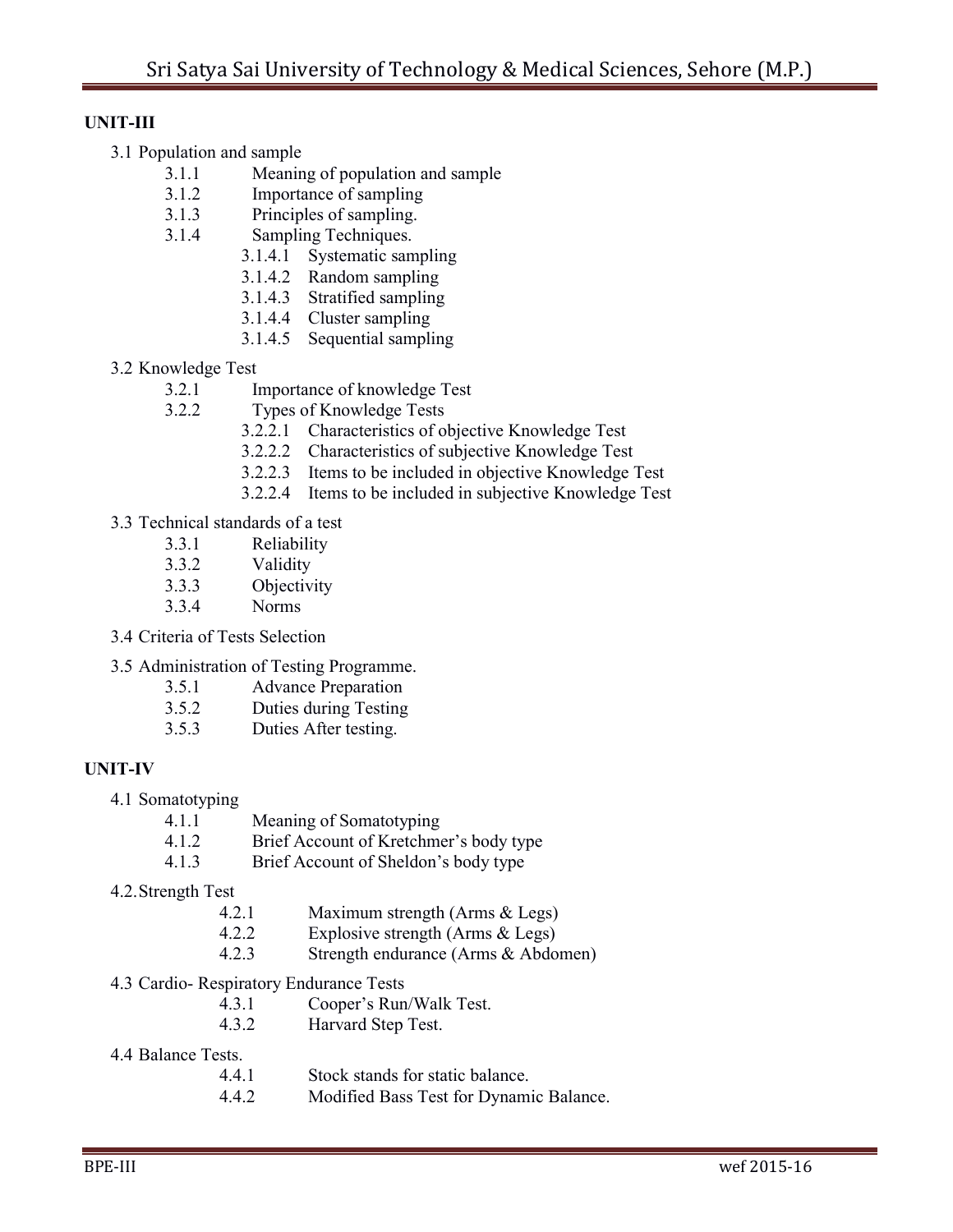### **UNIT-III**

- 3.1 Population and sample
	- 3.1.1 Meaning of population and sample
	- 3.1.2 Importance of sampling
	- 3.1.3 Principles of sampling.
	- 3.1.4 Sampling Techniques.
		- 3.1.4.1 Systematic sampling
		- 3.1.4.2 Random sampling
		- 3.1.4.3 Stratified sampling
		- 3.1.4.4 Cluster sampling
		- 3.1.4.5 Sequential sampling
- 3.2 Knowledge Test
	- 3.2.1 Importance of knowledge Test
	- 3.2.2 Types of Knowledge Tests
		- 3.2.2.1 Characteristics of objective Knowledge Test
		- 3.2.2.2 Characteristics of subjective Knowledge Test
		- 3.2.2.3 Items to be included in objective Knowledge Test
		- 3.2.2.4 Items to be included in subjective Knowledge Test
- 3.3 Technical standards of a test
	- 3.3.1 Reliability
	- 3.3.2 Validity
	- 3.3.3 Objectivity
	- 3.3.4 Norms
- 3.4 Criteria of Tests Selection
- 3.5 Administration of Testing Programme.
	- 3.5.1 Advance Preparation
	- 3.5.2 Duties during Testing
	- 3.5.3 Duties After testing.

### **UNIT-IV**

- 4.1 Somatotyping
	- 4.1.1 Meaning of Somatotyping
	- 4.1.2 Brief Account of Kretchmer"s body type
	- 4.1.3 Brief Account of Sheldon"s body type

#### 4.2.Strength Test

- 4.2.1 Maximum strength (Arms & Legs)
- 4.2.2 Explosive strength (Arms & Legs)
- 4.2.3 Strength endurance (Arms & Abdomen)

### 4.3 Cardio- Respiratory Endurance Tests

- 4.3.1 Cooper"s Run/Walk Test.
- 4.3.2 Harvard Step Test.

#### 4.4 Balance Tests.

- 4.4.1 Stock stands for static balance.
- 4.4.2 Modified Bass Test for Dynamic Balance.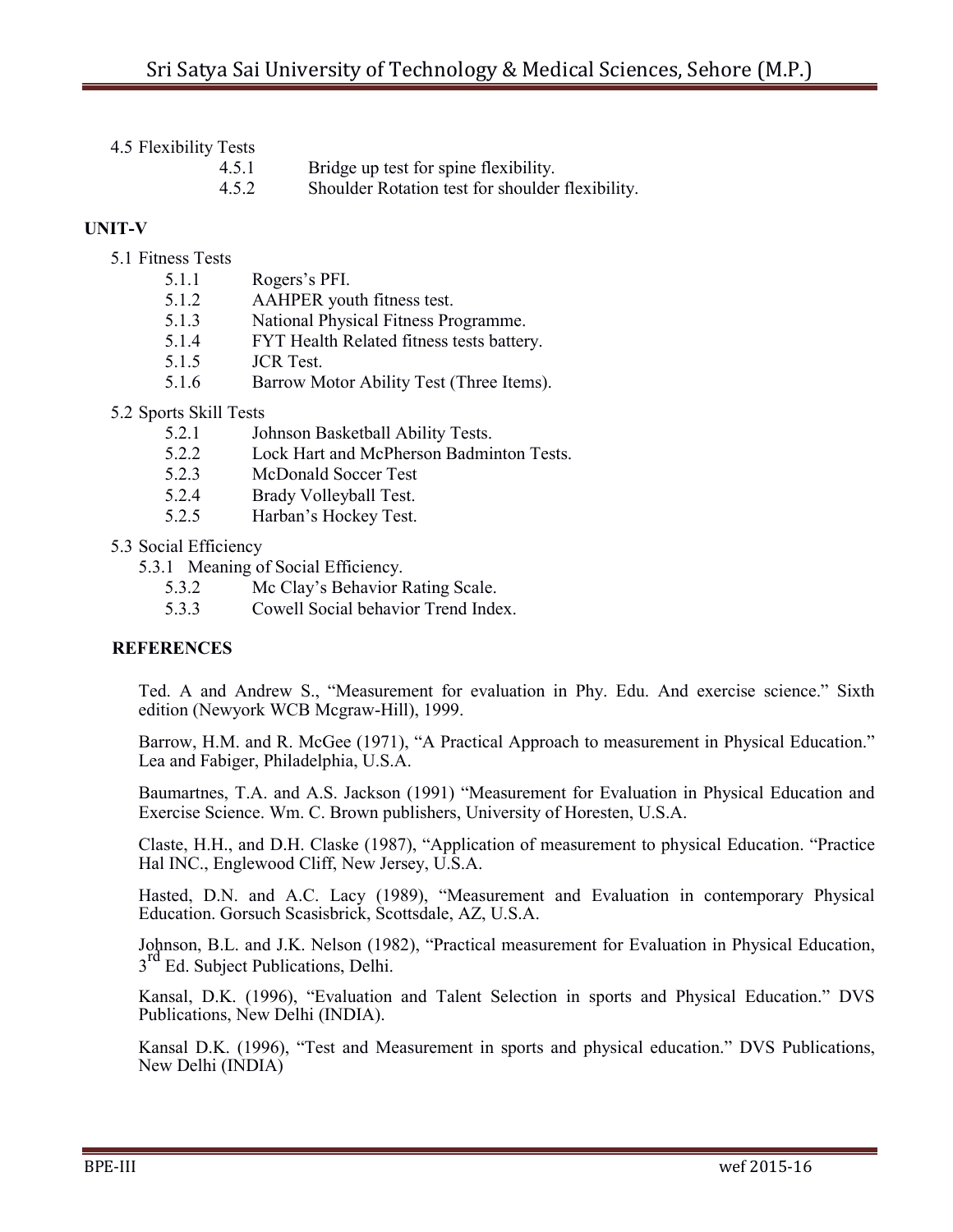| .     |                                                  |
|-------|--------------------------------------------------|
| 4.5.1 | Bridge up test for spine flexibility.            |
| 4.5.2 | Shoulder Rotation test for shoulder flexibility. |

## **UNIT-V**

- 5.1 Fitness Tests
	- 5.1.1 Rogers"s PFI.
	- 5.1.2 AAHPER youth fitness test.
	- 5.1.3 National Physical Fitness Programme.
	- 5.1.4 FYT Health Related fitness tests battery.
	- 5.1.5 JCR Test.
	- 5.1.6 Barrow Motor Ability Test (Three Items).
- 5.2 Sports Skill Tests
	- 5.2.1 Johnson Basketball Ability Tests.
	- 5.2.2 Lock Hart and McPherson Badminton Tests.
	- 5.2.3 McDonald Soccer Test
	- 5.2.4 Brady Volleyball Test.
	- 5.2.5 Harban"s Hockey Test.

## 5.3 Social Efficiency

- 5.3.1 Meaning of Social Efficiency.
	- 5.3.2 Mc Clay"s Behavior Rating Scale.
	- 5.3.3 Cowell Social behavior Trend Index.

## **REFERENCES**

Ted. A and Andrew S., "Measurement for evaluation in Phy. Edu. And exercise science." Sixth edition (Newyork WCB Mcgraw-Hill), 1999.

Barrow, H.M. and R. McGee (1971), "A Practical Approach to measurement in Physical Education." Lea and Fabiger, Philadelphia, U.S.A.

Baumartnes, T.A. and A.S. Jackson (1991) "Measurement for Evaluation in Physical Education and Exercise Science. Wm. C. Brown publishers, University of Horesten, U.S.A.

Claste, H.H., and D.H. Claske (1987), "Application of measurement to physical Education. "Practice Hal INC., Englewood Cliff, New Jersey, U.S.A.

Hasted, D.N. and A.C. Lacy (1989), "Measurement and Evaluation in contemporary Physical Education. Gorsuch Scasisbrick, Scottsdale, AZ, U.S.A.

Johnson, B.L. and J.K. Nelson (1982), "Practical measurement for Evaluation in Physical Education,  $3<sup>rd</sup>$  Ed. Subject Publications, Delhi.

Kansal, D.K. (1996), "Evaluation and Talent Selection in sports and Physical Education." DVS Publications, New Delhi (INDIA).

Kansal D.K. (1996), "Test and Measurement in sports and physical education." DVS Publications, New Delhi (INDIA)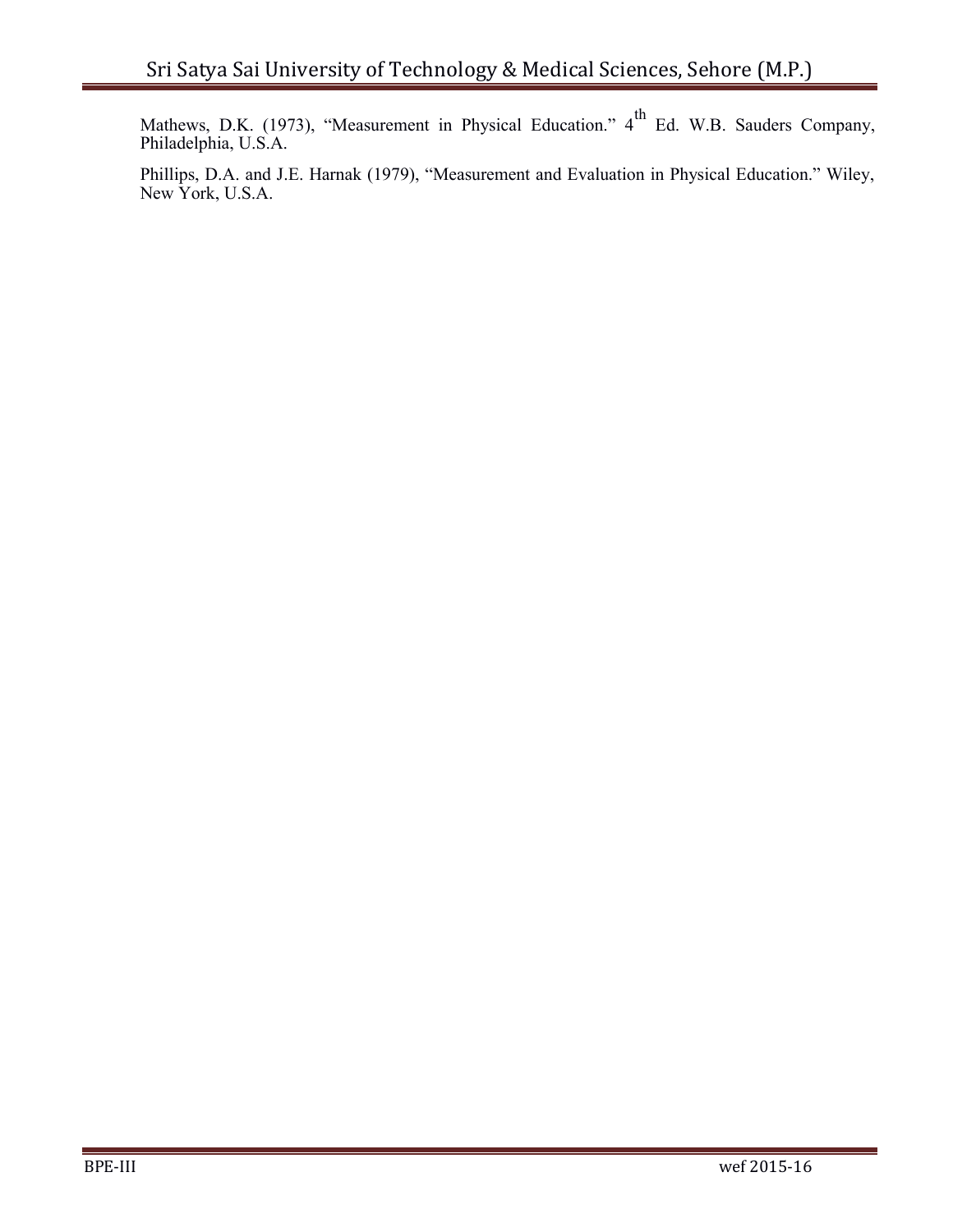Mathews, D.K. (1973), "Measurement in Physical Education." 4<sup>th</sup> Ed. W.B. Sauders Company, Philadelphia, U.S.A.

Phillips, D.A. and J.E. Harnak (1979), "Measurement and Evaluation in Physical Education." Wiley, New York, U.S.A.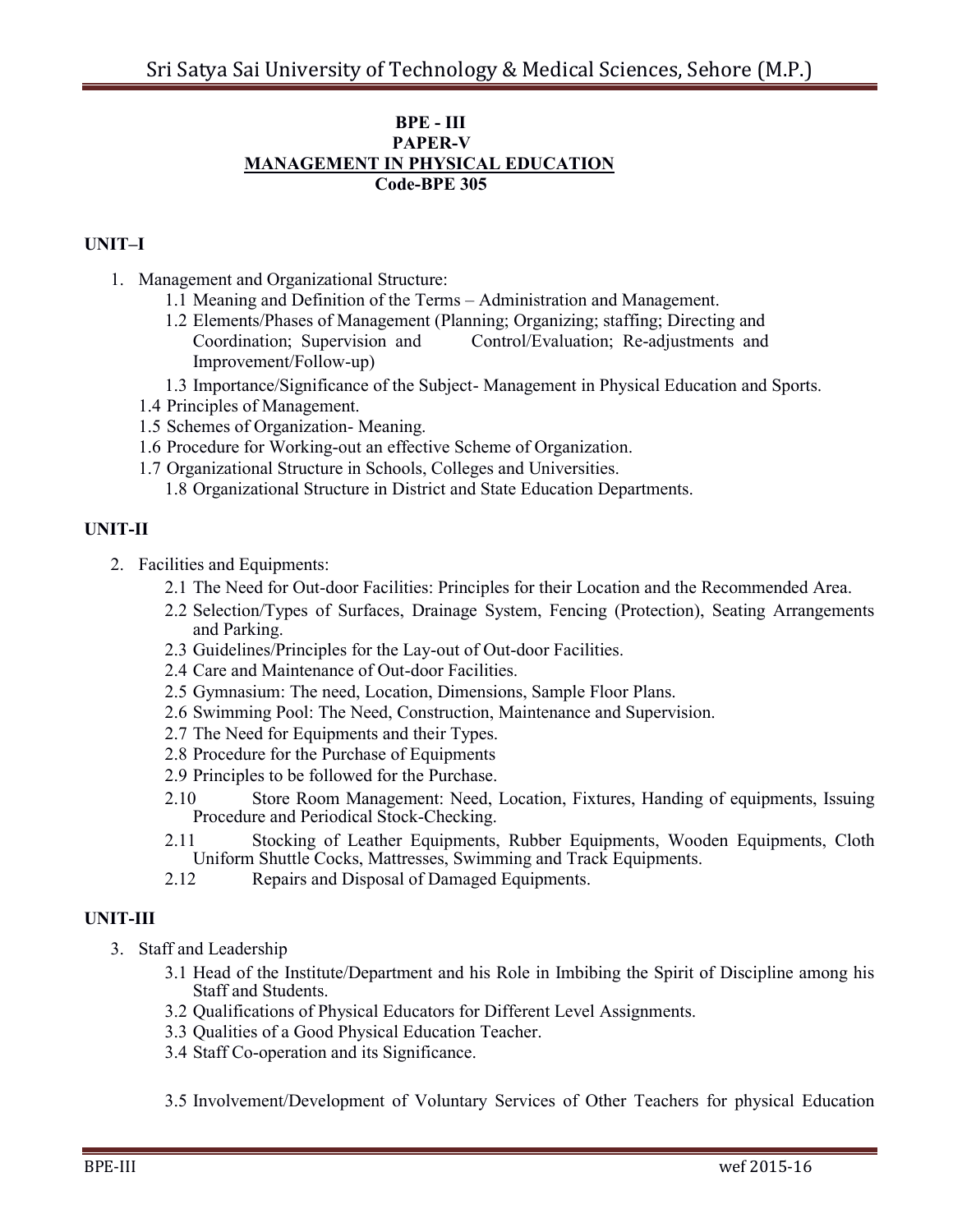#### **BPE - III PAPER-V MANAGEMENT IN PHYSICAL EDUCATION Code-BPE 305**

### **UNIT–I**

- 1. Management and Organizational Structure:
	- 1.1 Meaning and Definition of the Terms Administration and Management.
	- 1.2 Elements/Phases of Management (Planning; Organizing; staffing; Directing and Coordination; Supervision and Control/Evaluation; Re-adjustments and Improvement/Follow-up)
	- 1.3 Importance/Significance of the Subject- Management in Physical Education and Sports.
	- 1.4 Principles of Management.
	- 1.5 Schemes of Organization- Meaning.
	- 1.6 Procedure for Working-out an effective Scheme of Organization.
	- 1.7 Organizational Structure in Schools, Colleges and Universities.
		- 1.8 Organizational Structure in District and State Education Departments.

### **UNIT-II**

- 2. Facilities and Equipments:
	- 2.1 The Need for Out-door Facilities: Principles for their Location and the Recommended Area.
	- 2.2 Selection/Types of Surfaces, Drainage System, Fencing (Protection), Seating Arrangements and Parking.
	- 2.3 Guidelines/Principles for the Lay-out of Out-door Facilities.
	- 2.4 Care and Maintenance of Out-door Facilities.
	- 2.5 Gymnasium: The need, Location, Dimensions, Sample Floor Plans.
	- 2.6 Swimming Pool: The Need, Construction, Maintenance and Supervision.
	- 2.7 The Need for Equipments and their Types.
	- 2.8 Procedure for the Purchase of Equipments
	- 2.9 Principles to be followed for the Purchase.
	- 2.10 Store Room Management: Need, Location, Fixtures, Handing of equipments, Issuing Procedure and Periodical Stock-Checking.
	- 2.11 Stocking of Leather Equipments, Rubber Equipments, Wooden Equipments, Cloth Uniform Shuttle Cocks, Mattresses, Swimming and Track Equipments.
	- 2.12 Repairs and Disposal of Damaged Equipments.

### **UNIT-III**

- 3. Staff and Leadership
	- 3.1 Head of the Institute/Department and his Role in Imbibing the Spirit of Discipline among his Staff and Students.
	- 3.2 Qualifications of Physical Educators for Different Level Assignments.
	- 3.3 Qualities of a Good Physical Education Teacher.
	- 3.4 Staff Co-operation and its Significance.
	- 3.5 Involvement/Development of Voluntary Services of Other Teachers for physical Education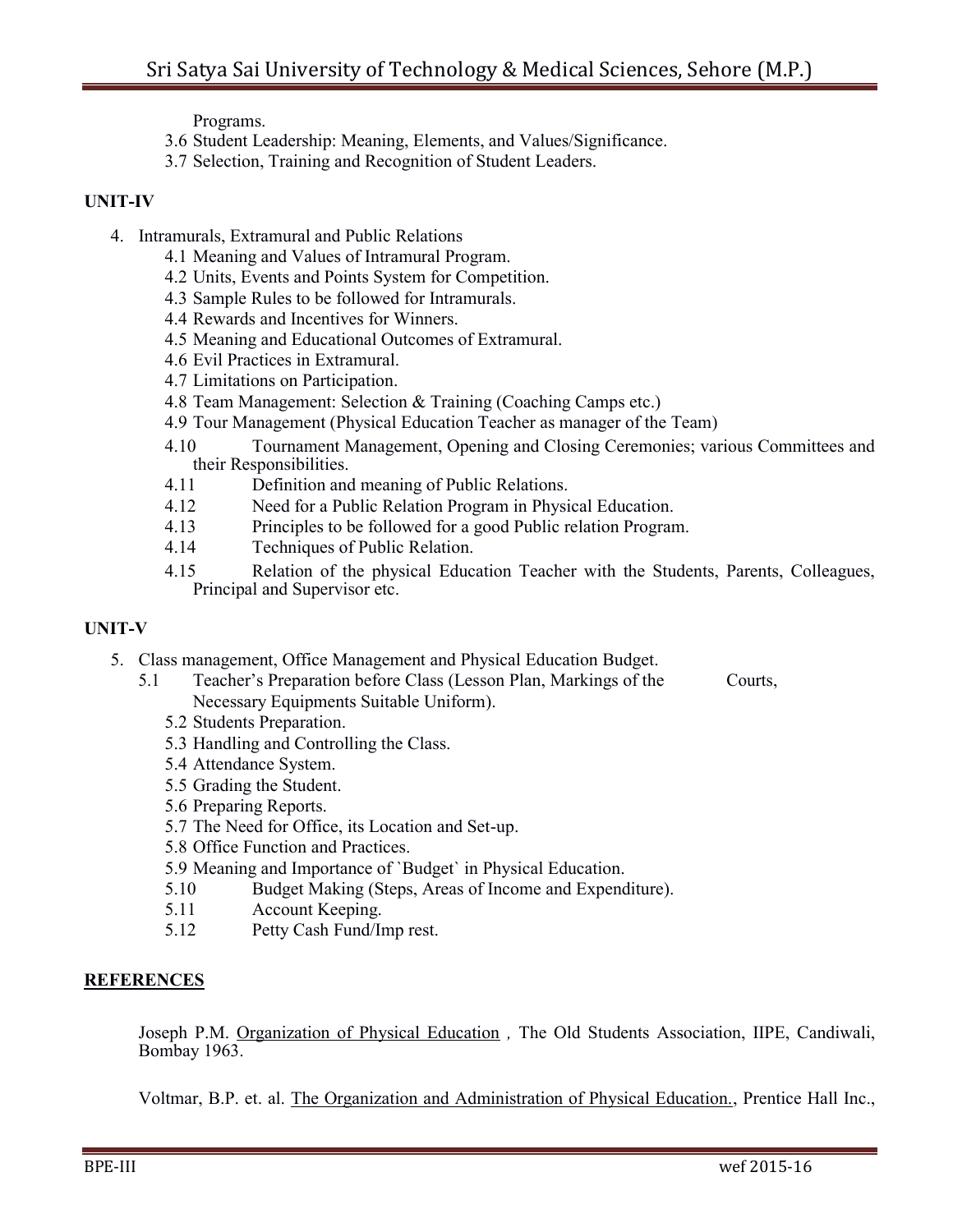Programs.

- 3.6 Student Leadership: Meaning, Elements, and Values/Significance.
- 3.7 Selection, Training and Recognition of Student Leaders.

### **UNIT-IV**

- 4. Intramurals, Extramural and Public Relations
	- 4.1 Meaning and Values of Intramural Program.
	- 4.2 Units, Events and Points System for Competition.
	- 4.3 Sample Rules to be followed for Intramurals.
	- 4.4 Rewards and Incentives for Winners.
	- 4.5 Meaning and Educational Outcomes of Extramural.
	- 4.6 Evil Practices in Extramural.
	- 4.7 Limitations on Participation.
	- 4.8 Team Management: Selection & Training (Coaching Camps etc.)
	- 4.9 Tour Management (Physical Education Teacher as manager of the Team)
	- 4.10 Tournament Management, Opening and Closing Ceremonies; various Committees and their Responsibilities.
	- 4.11 Definition and meaning of Public Relations.
	- 4.12 Need for a Public Relation Program in Physical Education.
	- 4.13 Principles to be followed for a good Public relation Program.
	- 4.14 Techniques of Public Relation.
	- 4.15 Relation of the physical Education Teacher with the Students, Parents, Colleagues, Principal and Supervisor etc.

## **UNIT-V**

- 5. Class management, Office Management and Physical Education Budget.
	- 5.1 Teacher"s Preparation before Class (Lesson Plan, Markings of the Courts, Necessary Equipments Suitable Uniform).
		- 5.2 Students Preparation.
		- 5.3 Handling and Controlling the Class.
		- 5.4 Attendance System.
		- 5.5 Grading the Student.
		- 5.6 Preparing Reports.
		- 5.7 The Need for Office, its Location and Set-up.
		- 5.8 Office Function and Practices.
		- 5.9 Meaning and Importance of `Budget` in Physical Education.
		- 5.10 Budget Making (Steps, Areas of Income and Expenditure).
		- 5.11 Account Keeping.
		- 5.12 Petty Cash Fund/Imp rest.

## **REFERENCES**

Joseph P.M. Organization of Physical Education *,* The Old Students Association, IIPE, Candiwali, Bombay 1963.

Voltmar, B.P. et. al. The Organization and Administration of Physical Education., Prentice Hall Inc.,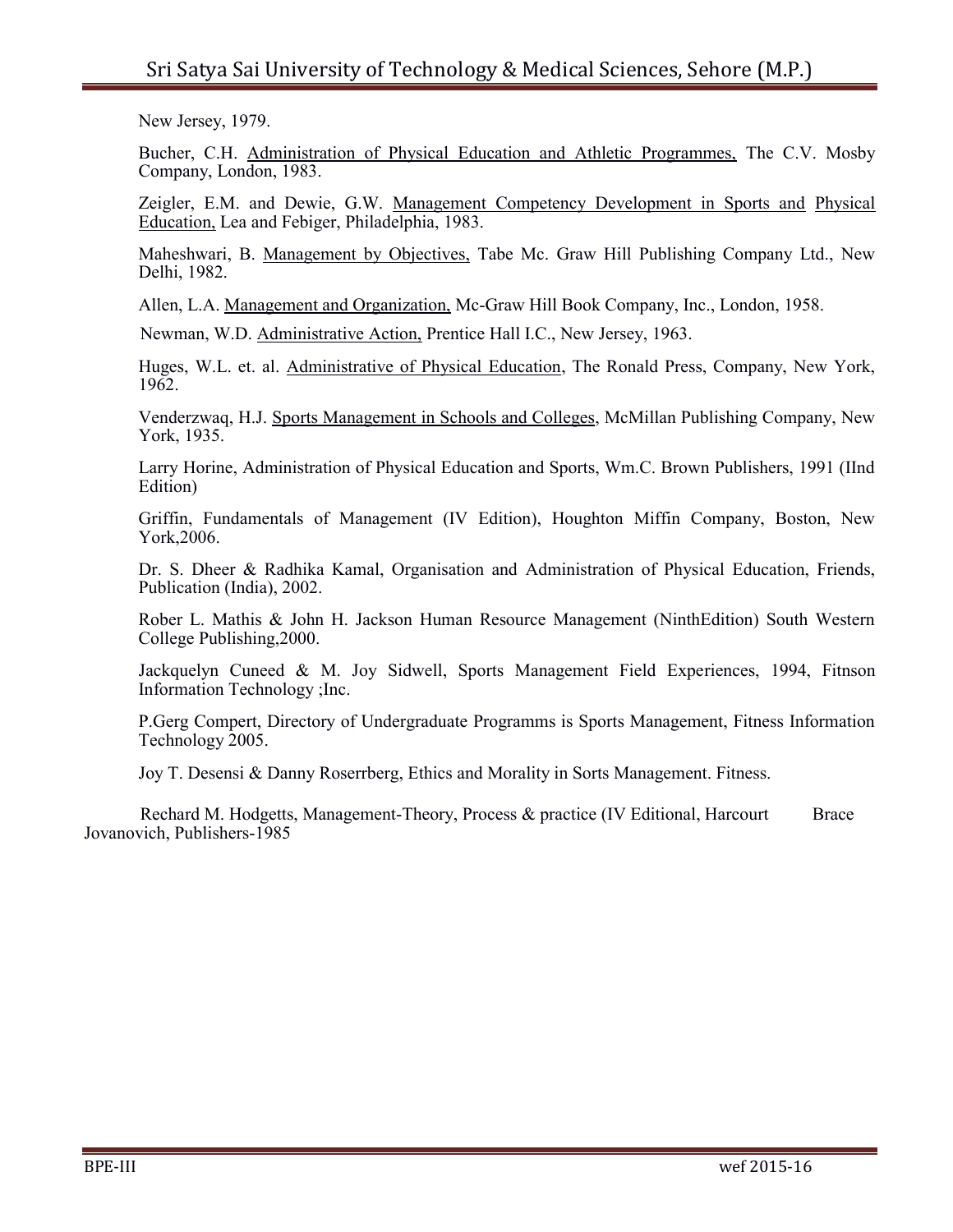New Jersey, 1979.

Bucher, C.H. Administration of Physical Education and Athletic Programmes, The C.V. Mosby Company, London, 1983.

Zeigler, E.M. and Dewie, G.W. Management Competency Development in Sports and Physical Education, Lea and Febiger, Philadelphia, 1983.

Maheshwari, B. Management by Objectives, Tabe Mc. Graw Hill Publishing Company Ltd., New Delhi, 1982.

Allen, L.A. Management and Organization, Mc-Graw Hill Book Company, Inc., London, 1958.

Newman, W.D. Administrative Action, Prentice Hall I.C., New Jersey, 1963.

Huges, W.L. et. al. Administrative of Physical Education, The Ronald Press, Company, New York, 1962.

Venderzwaq, H.J. Sports Management in Schools and Colleges, McMillan Publishing Company, New York, 1935.

Larry Horine, Administration of Physical Education and Sports, Wm.C. Brown Publishers, 1991 (IInd Edition)

Griffin, Fundamentals of Management (IV Edition), Houghton Miffin Company, Boston, New York,2006.

Dr. S. Dheer & Radhika Kamal, Organisation and Administration of Physical Education, Friends, Publication (India), 2002.

Rober L. Mathis & John H. Jackson Human Resource Management (NinthEdition) South Western College Publishing,2000.

Jackquelyn Cuneed & M. Joy Sidwell, Sports Management Field Experiences, 1994, Fitnson Information Technology ;Inc.

P.Gerg Compert, Directory of Undergraduate Programms is Sports Management, Fitness Information Technology 2005.

Joy T. Desensi & Danny Roserrberg, Ethics and Morality in Sorts Management. Fitness.

Rechard M. Hodgetts, Management-Theory, Process & practice (IV Editional, Harcourt Brace Jovanovich, Publishers-1985